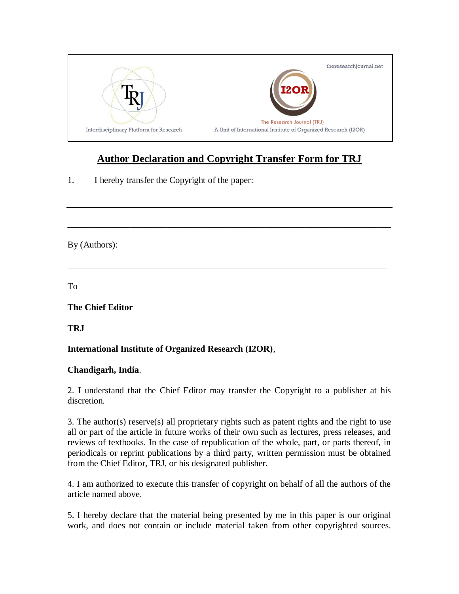

## **Author Declaration and Copyright Transfer Form for TRJ**

\_\_\_\_\_\_\_\_\_\_\_\_\_\_\_\_\_\_\_\_\_\_\_\_\_\_\_\_\_\_\_\_\_\_\_\_\_\_\_\_\_\_\_\_\_\_\_\_\_\_\_\_\_\_\_\_\_\_\_\_\_\_\_\_\_\_\_\_\_\_\_\_

\_\_\_\_\_\_\_\_\_\_\_\_\_\_\_\_\_\_\_\_\_\_\_\_\_\_\_\_\_\_\_\_\_\_\_\_\_\_\_\_\_\_\_\_\_\_\_\_\_\_\_\_\_\_\_\_\_\_\_\_\_\_\_\_\_\_\_\_\_\_\_

1. I hereby transfer the Copyright of the paper:

By (Authors):

To

**The Chief Editor**

**TRJ**

## **International Institute of Organized Research (I2OR)**,

## **Chandigarh, India**.

2. I understand that the Chief Editor may transfer the Copyright to a publisher at his discretion.

3. The author(s) reserve(s) all proprietary rights such as patent rights and the right to use all or part of the article in future works of their own such as lectures, press releases, and reviews of textbooks. In the case of republication of the whole, part, or parts thereof, in periodicals or reprint publications by a third party, written permission must be obtained from the Chief Editor, TRJ, or his designated publisher.

4. I am authorized to execute this transfer of copyright on behalf of all the authors of the article named above.

5. I hereby declare that the material being presented by me in this paper is our original work, and does not contain or include material taken from other copyrighted sources.